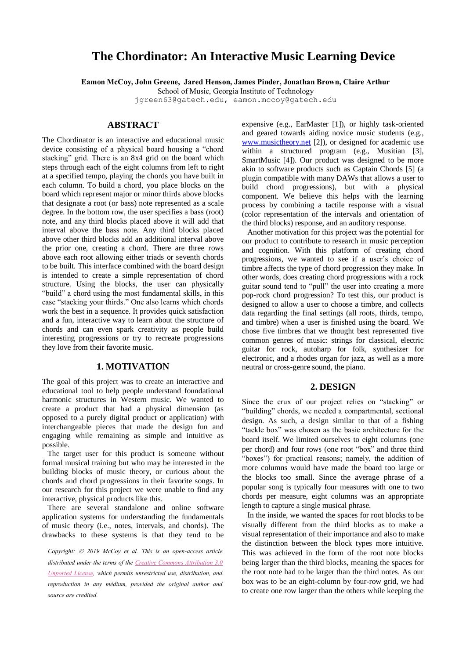# **The Chordinator: An Interactive Music Learning Device**

**Eamon McCoy, John Greene, Jared Henson, James Pinder, Jonathan Brown, Claire Arthur**

School of Music, Georgia Institute of Technology

jgreen6[3@g](mailto:author2@smcnetwork.org)atech.edu, eamon.mccoy@gatech.edu

## **ABSTRACT**

The Chordinator is an interactive and educational music device consisting of a physical board housing a "chord stacking" grid. There is an 8x4 grid on the board which steps through each of the eight columns from left to right at a specified tempo, playing the chords you have built in each column. To build a chord, you place blocks on the board which represent major or minor thirds above blocks that designate a root (or bass) note represented as a scale degree. In the bottom row, the user specifies a bass (root) note, and any third blocks placed above it will add that interval above the bass note. Any third blocks placed above other third blocks add an additional interval above the prior one, creating a chord. There are three rows above each root allowing either triads or seventh chords to be built. This interface combined with the board design is intended to create a simple representation of chord structure. Using the blocks, the user can physically "build" a chord using the most fundamental skills, in this case "stacking your thirds." One also learns which chords work the best in a sequence. It provides quick satisfaction and a fun, interactive way to learn about the structure of chords and can even spark creativity as people build interesting progressions or try to recreate progressions they love from their favorite music.

### **1. MOTIVATION**

The goal of this project was to create an interactive and educational tool to help people understand foundational harmonic structures in Western music. We wanted to create a product that had a physical dimension (as opposed to a purely digital product or application) with interchangeable pieces that made the design fun and engaging while remaining as simple and intuitive as possible.

The target user for this product is someone without formal musical training but who may be interested in the building blocks of music theory, or curious about the chords and chord progressions in their favorite songs. In our research for this project we were unable to find any interactive, physical products like this.

There are several standalone and online software application systems for understanding the fundamentals of music theory (i.e., notes, intervals, and chords). The drawbacks to these systems is that they tend to be

*Copyright:* © *2019 McCoy et al. This is an open-access article distributed under the terms of the Creative Commons Attribution 3.0 Unported License, which permits unrestricted use, distribution, and reproduction in any médium, provided the original author and source are credited.*

expensive (e.g., EarMaster [1]), or highly task-oriented and geared towards aiding novice music students (e.g., [www.musictheory.net](http://www.musictheory.net/) [2]), or designed for academic use within a structured program (e.g., Musitian [3], SmartMusic [4]). Our product was designed to be more akin to software products such as Captain Chords [5] (a plugin compatible with many DAWs that allows a user to build chord progressions), but with a physical component. We believe this helps with the learning process by combining a tactile response with a visual (color representation of the intervals and orientation of the third blocks) response, and an auditory response.

Another motivation for this project was the potential for our product to contribute to research in music perception and cognition. With this platform of creating chord progressions, we wanted to see if a user's choice of timbre affects the type of chord progression they make. In other words, does creating chord progressions with a rock guitar sound tend to "pull" the user into creating a more pop-rock chord progression? To test this, our product is designed to allow a user to choose a timbre, and collects data regarding the final settings (all roots, thirds, tempo, and timbre) when a user is finished using the board. We chose five timbres that we thought best represented five common genres of music: strings for classical, electric guitar for rock, autoharp for folk, synthesizer for electronic, and a rhodes organ for jazz, as well as a more neutral or cross-genre sound, the piano.

#### **2. DESIGN**

Since the crux of our project relies on "stacking" or "building" chords, we needed a compartmental, sectional design. As such, a design similar to that of a fishing "tackle box" was chosen as the basic architecture for the board itself. We limited ourselves to eight columns (one per chord) and four rows (one root "box" and three third "boxes") for practical reasons; namely, the addition of more columns would have made the board too large or the blocks too small. Since the average phrase of a popular song is typically four measures with one to two chords per measure, eight columns was an appropriate length to capture a single musical phrase.

In the inside, we wanted the spaces for root blocks to be visually different from the third blocks as to make a visual representation of their importance and also to make the distinction between the block types more intuitive. This was achieved in the form of the root note blocks being larger than the third blocks, meaning the spaces for the root note had to be larger than the third notes. As our box was to be an eight-column by four-row grid, we had to create one row larger than the others while keeping the